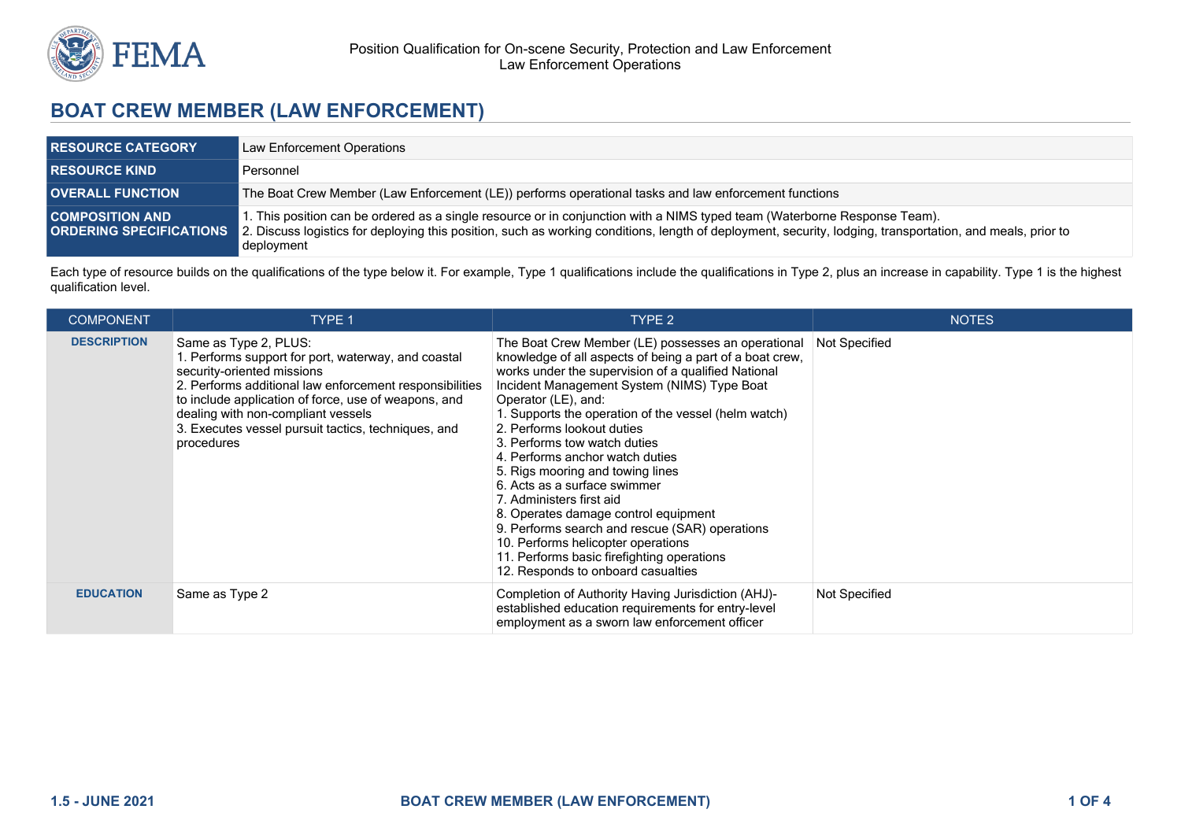

# **BOAT CREW MEMBER (LAW ENFORCEMENT)**

| <b>RESOURCE CATEGORY</b>                                 | Law Enforcement Operations                                                                                                                                                                                                                                                                            |  |
|----------------------------------------------------------|-------------------------------------------------------------------------------------------------------------------------------------------------------------------------------------------------------------------------------------------------------------------------------------------------------|--|
| <b>RESOURCE KIND</b>                                     | Personnel                                                                                                                                                                                                                                                                                             |  |
| <b>OVERALL FUNCTION</b>                                  | The Boat Crew Member (Law Enforcement (LE)) performs operational tasks and law enforcement functions                                                                                                                                                                                                  |  |
| <b>COMPOSITION AND</b><br><b>ORDERING SPECIFICATIONS</b> | 1. This position can be ordered as a single resource or in conjunction with a NIMS typed team (Waterborne Response Team).<br>2. Discuss logistics for deploying this position, such as working conditions, length of deployment, security, lodging, transportation, and meals, prior to<br>deployment |  |

Each type of resource builds on the qualifications of the type below it. For example, Type 1 qualifications include the qualifications in Type 2, plus an increase in capability. Type 1 is the highest qualification level.

| <b>COMPONENT</b>   | TYPE 1                                                                                                                                                                                                                                                                                                                                   | TYPE <sub>2</sub>                                                                                                                                                                                                                                                                                                                                                                                                                                                                                                                                                                                                                                                                                                        | <b>NOTES</b>         |
|--------------------|------------------------------------------------------------------------------------------------------------------------------------------------------------------------------------------------------------------------------------------------------------------------------------------------------------------------------------------|--------------------------------------------------------------------------------------------------------------------------------------------------------------------------------------------------------------------------------------------------------------------------------------------------------------------------------------------------------------------------------------------------------------------------------------------------------------------------------------------------------------------------------------------------------------------------------------------------------------------------------------------------------------------------------------------------------------------------|----------------------|
| <b>DESCRIPTION</b> | Same as Type 2, PLUS:<br>1. Performs support for port, waterway, and coastal<br>security-oriented missions<br>2. Performs additional law enforcement responsibilities<br>to include application of force, use of weapons, and<br>dealing with non-compliant vessels<br>3. Executes vessel pursuit tactics, techniques, and<br>procedures | The Boat Crew Member (LE) possesses an operational<br>knowledge of all aspects of being a part of a boat crew,<br>works under the supervision of a qualified National<br>Incident Management System (NIMS) Type Boat<br>Operator (LE), and:<br>1. Supports the operation of the vessel (helm watch)<br>2. Performs lookout duties<br>3. Performs tow watch duties<br>4. Performs anchor watch duties<br>5. Rigs mooring and towing lines<br>6. Acts as a surface swimmer<br>7. Administers first aid<br>8. Operates damage control equipment<br>9. Performs search and rescue (SAR) operations<br>10. Performs helicopter operations<br>11. Performs basic firefighting operations<br>12. Responds to onboard casualties | <b>Not Specified</b> |
| <b>EDUCATION</b>   | Same as Type 2                                                                                                                                                                                                                                                                                                                           | Completion of Authority Having Jurisdiction (AHJ)-<br>established education requirements for entry-level<br>employment as a sworn law enforcement officer                                                                                                                                                                                                                                                                                                                                                                                                                                                                                                                                                                | Not Specified        |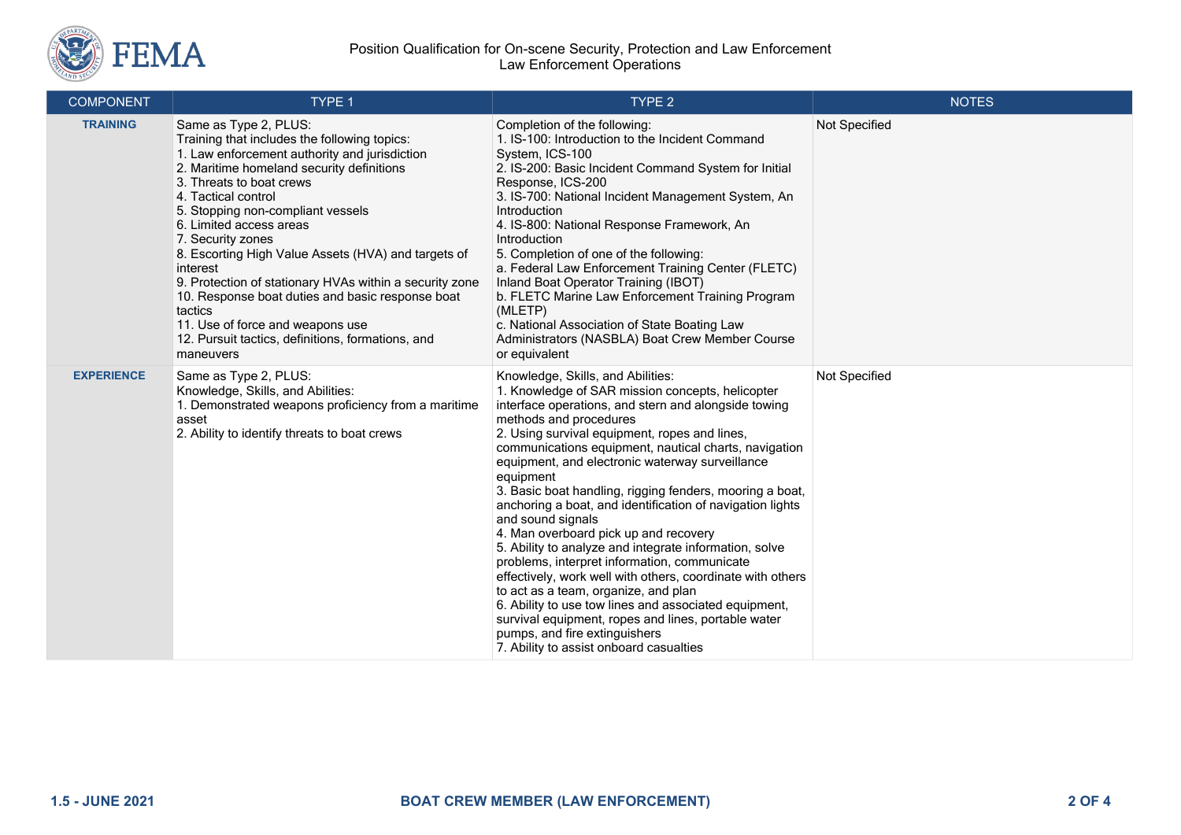

#### Position Qualification for On-scene Security, Protection and Law Enforcement Law Enforcement Operations

| <b>COMPONENT</b>  | TYPE 1                                                                                                                                                                                                                                                                                                                                                                                                                                                                                                                                                                                                         | TYPE 2                                                                                                                                                                                                                                                                                                                                                                                                                                                                                                                                                                                                                                                                                                                                                                                                                                                                                                                                               | <b>NOTES</b>  |
|-------------------|----------------------------------------------------------------------------------------------------------------------------------------------------------------------------------------------------------------------------------------------------------------------------------------------------------------------------------------------------------------------------------------------------------------------------------------------------------------------------------------------------------------------------------------------------------------------------------------------------------------|------------------------------------------------------------------------------------------------------------------------------------------------------------------------------------------------------------------------------------------------------------------------------------------------------------------------------------------------------------------------------------------------------------------------------------------------------------------------------------------------------------------------------------------------------------------------------------------------------------------------------------------------------------------------------------------------------------------------------------------------------------------------------------------------------------------------------------------------------------------------------------------------------------------------------------------------------|---------------|
| <b>TRAINING</b>   | Same as Type 2, PLUS:<br>Training that includes the following topics:<br>1. Law enforcement authority and jurisdiction<br>2. Maritime homeland security definitions<br>3. Threats to boat crews<br>4. Tactical control<br>5. Stopping non-compliant vessels<br>6. Limited access areas<br>7. Security zones<br>8. Escorting High Value Assets (HVA) and targets of<br>interest<br>9. Protection of stationary HVAs within a security zone<br>10. Response boat duties and basic response boat<br>tactics<br>11. Use of force and weapons use<br>12. Pursuit tactics, definitions, formations, and<br>maneuvers | Completion of the following:<br>1. IS-100: Introduction to the Incident Command<br>System, ICS-100<br>2. IS-200: Basic Incident Command System for Initial<br>Response, ICS-200<br>3. IS-700: National Incident Management System, An<br>Introduction<br>4. IS-800: National Response Framework, An<br>Introduction<br>5. Completion of one of the following:<br>a. Federal Law Enforcement Training Center (FLETC)<br>Inland Boat Operator Training (IBOT)<br>b. FLETC Marine Law Enforcement Training Program<br>(MLETP)<br>c. National Association of State Boating Law<br>Administrators (NASBLA) Boat Crew Member Course<br>or equivalent                                                                                                                                                                                                                                                                                                       | Not Specified |
| <b>EXPERIENCE</b> | Same as Type 2, PLUS:<br>Knowledge, Skills, and Abilities:<br>1. Demonstrated weapons proficiency from a maritime<br>asset<br>2. Ability to identify threats to boat crews                                                                                                                                                                                                                                                                                                                                                                                                                                     | Knowledge, Skills, and Abilities:<br>1. Knowledge of SAR mission concepts, helicopter<br>interface operations, and stern and alongside towing<br>methods and procedures<br>2. Using survival equipment, ropes and lines,<br>communications equipment, nautical charts, navigation<br>equipment, and electronic waterway surveillance<br>equipment<br>3. Basic boat handling, rigging fenders, mooring a boat,<br>anchoring a boat, and identification of navigation lights<br>and sound signals<br>4. Man overboard pick up and recovery<br>5. Ability to analyze and integrate information, solve<br>problems, interpret information, communicate<br>effectively, work well with others, coordinate with others<br>to act as a team, organize, and plan<br>6. Ability to use tow lines and associated equipment,<br>survival equipment, ropes and lines, portable water<br>pumps, and fire extinguishers<br>7. Ability to assist onboard casualties | Not Specified |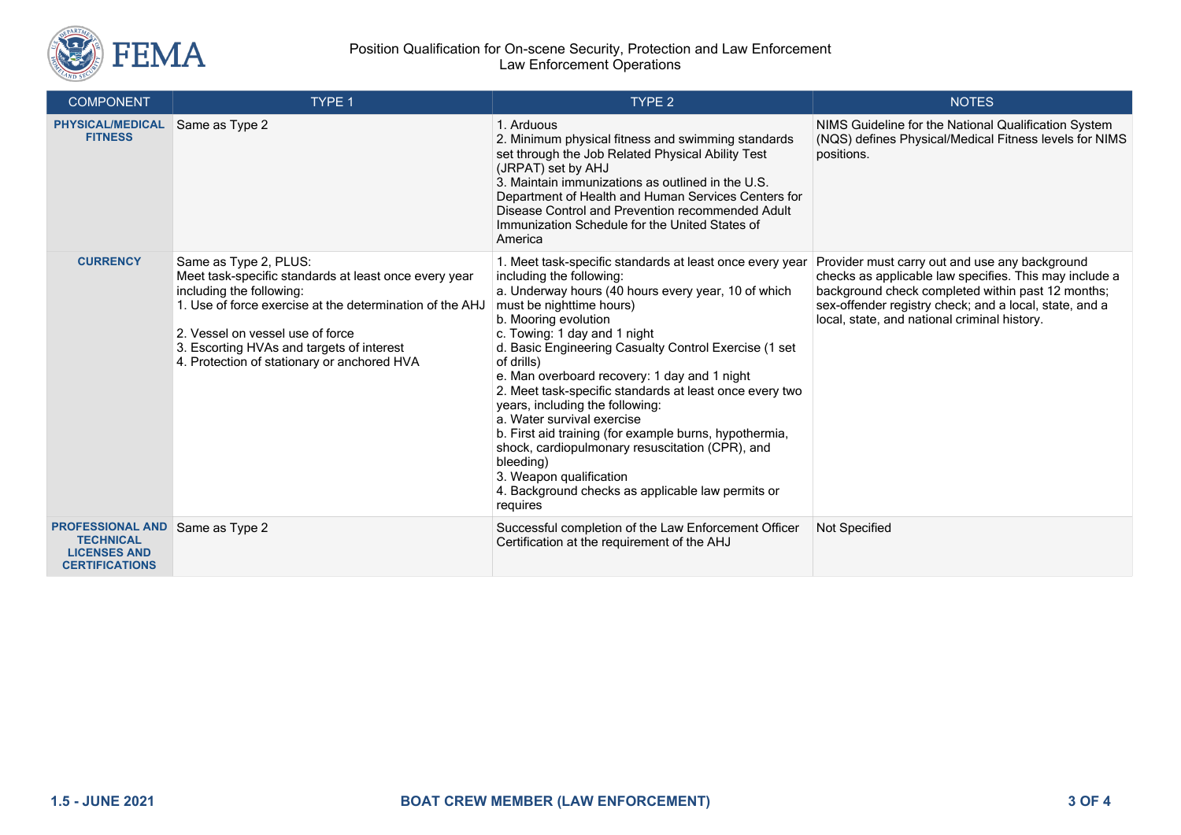

#### Position Qualification for On-scene Security, Protection and Law Enforcement Law Enforcement Operations

| <b>COMPONENT</b>                                                                                           | TYPE 1                                                                                                                                                                                                                                                                                                 | TYPE <sub>2</sub>                                                                                                                                                                                                                                                                                                                                                                                                                                                                                                                                                                                                                                                                                        | <b>NOTES</b>                                                                                                                                                                                                                                                            |
|------------------------------------------------------------------------------------------------------------|--------------------------------------------------------------------------------------------------------------------------------------------------------------------------------------------------------------------------------------------------------------------------------------------------------|----------------------------------------------------------------------------------------------------------------------------------------------------------------------------------------------------------------------------------------------------------------------------------------------------------------------------------------------------------------------------------------------------------------------------------------------------------------------------------------------------------------------------------------------------------------------------------------------------------------------------------------------------------------------------------------------------------|-------------------------------------------------------------------------------------------------------------------------------------------------------------------------------------------------------------------------------------------------------------------------|
| <b>PHYSICAL/MEDICAL</b><br><b>FITNESS</b>                                                                  | Same as Type 2                                                                                                                                                                                                                                                                                         | 1. Arduous<br>2. Minimum physical fitness and swimming standards<br>set through the Job Related Physical Ability Test<br>(JRPAT) set by AHJ<br>3. Maintain immunizations as outlined in the U.S.<br>Department of Health and Human Services Centers for<br>Disease Control and Prevention recommended Adult<br>Immunization Schedule for the United States of<br>America                                                                                                                                                                                                                                                                                                                                 | NIMS Guideline for the National Qualification System<br>(NQS) defines Physical/Medical Fitness levels for NIMS<br>positions.                                                                                                                                            |
| <b>CURRENCY</b>                                                                                            | Same as Type 2, PLUS:<br>Meet task-specific standards at least once every year<br>including the following:<br>1. Use of force exercise at the determination of the AHJ<br>2. Vessel on vessel use of force<br>3. Escorting HVAs and targets of interest<br>4. Protection of stationary or anchored HVA | 1. Meet task-specific standards at least once every year<br>including the following:<br>a. Underway hours (40 hours every year, 10 of which<br>must be nighttime hours)<br>b. Mooring evolution<br>c. Towing: 1 day and 1 night<br>d. Basic Engineering Casualty Control Exercise (1 set<br>of drills)<br>e. Man overboard recovery: 1 day and 1 night<br>2. Meet task-specific standards at least once every two<br>years, including the following:<br>a. Water survival exercise<br>b. First aid training (for example burns, hypothermia,<br>shock, cardiopulmonary resuscitation (CPR), and<br>bleeding)<br>3. Weapon qualification<br>4. Background checks as applicable law permits or<br>requires | Provider must carry out and use any background<br>checks as applicable law specifies. This may include a<br>background check completed within past 12 months;<br>sex-offender registry check; and a local, state, and a<br>local, state, and national criminal history. |
| <b>PROFESSIONAL AND Same as Type 2</b><br><b>TECHNICAL</b><br><b>LICENSES AND</b><br><b>CERTIFICATIONS</b> |                                                                                                                                                                                                                                                                                                        | Successful completion of the Law Enforcement Officer<br>Certification at the requirement of the AHJ                                                                                                                                                                                                                                                                                                                                                                                                                                                                                                                                                                                                      | Not Specified                                                                                                                                                                                                                                                           |